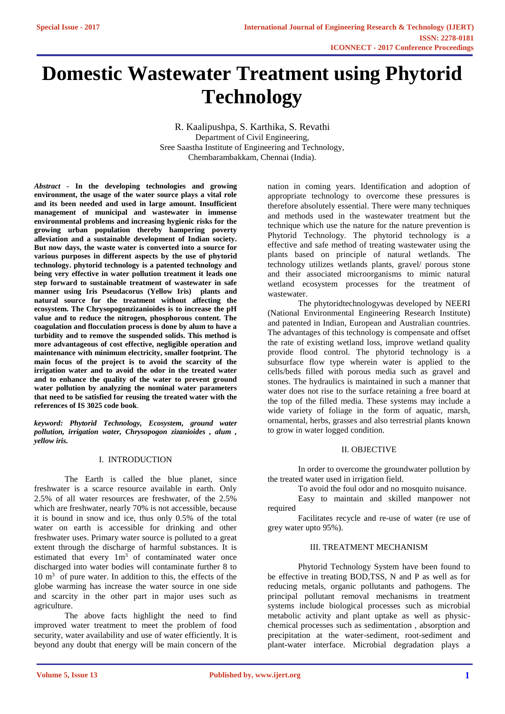# **Domestic Wastewater Treatment using Phytorid Technology**

R. Kaalipushpa, S. Karthika, S. Revathi Department of Civil Engineering, Sree Saastha Institute of Engineering and Technology, Chembarambakkam, Chennai (India).

*Abstract -* **In the developing technologies and growing environment, the usage of the water source plays a vital role and its been needed and used in large amount. Insufficient management of municipal and wastewater in immense environmental problems and increasing hygienic risks for the growing urban population thereby hampering poverty alleviation and a sustainable development of Indian society. But now days, the waste water is converted into a source for various purposes in different aspects by the use of phytorid technology. phytorid technology is a patented technology and being very effective in water pollution treatment it leads one step forward to sustainable treatment of wastewater in safe manner using Iris Pseudacorus (Yellow Iris) plants and natural source for the treatment without affecting the ecosystem. The Chrysopogonzizanioides is to increase the pH value and to reduce the nitrogen, phosphorous content. The coagulation and flocculation process is done by alum to have a turbidity and to remove the suspended solids. This method is more advantageous of cost effective, negligible operation and maintenance with minimum electricity, smaller footprint. The main focus of the project is to avoid the scarcity of the irrigation water and to avoid the odor in the treated water and to enhance the quality of the water to prevent ground water pollution by analyzing the nominal water parameters that need to be satisfied for reusing the treated water with the references of IS 3025 code book**.

*keyword: Phytorid Technology, Ecosystem, ground water pollution, irrigation water, Chrysopogon zizanioides , alum , yellow iris.*

# I. INTRODUCTION

The Earth is called the blue planet, since freshwater is a scarce resource available in earth. Only 2.5% of all water resources are freshwater, of the 2.5% which are freshwater, nearly 70% is not accessible, because it is bound in snow and ice, thus only 0.5% of the total water on earth is accessible for drinking and other freshwater uses. Primary water source is polluted to a great extent through the discharge of harmful substances. It is estimated that every  $1m<sup>3</sup>$  of contaminated water once discharged into water bodies will contaminate further 8 to 10 m<sup>3</sup> of pure water. In addition to this, the effects of the globe warming has increase the water source in one side and scarcity in the other part in major uses such as agriculture.

The above facts highlight the need to find improved water treatment to meet the problem of food security, water availability and use of water efficiently. It is beyond any doubt that energy will be main concern of the

nation in coming years. Identification and adoption of appropriate technology to overcome these pressures is therefore absolutely essential. There were many techniques and methods used in the wastewater treatment but the technique which use the nature for the nature prevention is Phytorid Technology. The phytorid technology is a effective and safe method of treating wastewater using the plants based on principle of natural wetlands. The technology utilizes wetlands plants, gravel/ porous stone and their associated microorganisms to mimic natural wetland ecosystem processes for the treatment of wastewater.

The phytoridtechnologywas developed by NEERI (National Environmental Engineering Research Institute) and patented in Indian, European and Australian countries. The advantages of this technology is compensate and offset the rate of existing wetland loss, improve wetland quality provide flood control. The phytorid technology is a subsurface flow type wherein water is applied to the cells/beds filled with porous media such as gravel and stones. The hydraulics is maintained in such a manner that water does not rise to the surface retaining a free board at the top of the filled media. These systems may include a wide variety of foliage in the form of aquatic, marsh, ornamental, herbs, grasses and also terrestrial plants known to grow in water logged condition.

# II. OBJECTIVE

In order to overcome the groundwater pollution by the treated water used in irrigation field.

To avoid the foul odor and no mosquito nuisance.

Easy to maintain and skilled manpower not required

Facilitates recycle and re-use of water (re use of grey water upto 95%).

## III. TREATMENT MECHANISM

Phytorid Technology System have been found to be effective in treating BOD,TSS, N and P as well as for reducing metals, organic pollutants and pathogens. The principal pollutant removal mechanisms in treatment systems include biological processes such as microbial metabolic activity and plant uptake as well as physicchemical processes such as sedimentation , absorption and precipitation at the water-sediment, root-sediment and plant-water interface. Microbial degradation plays a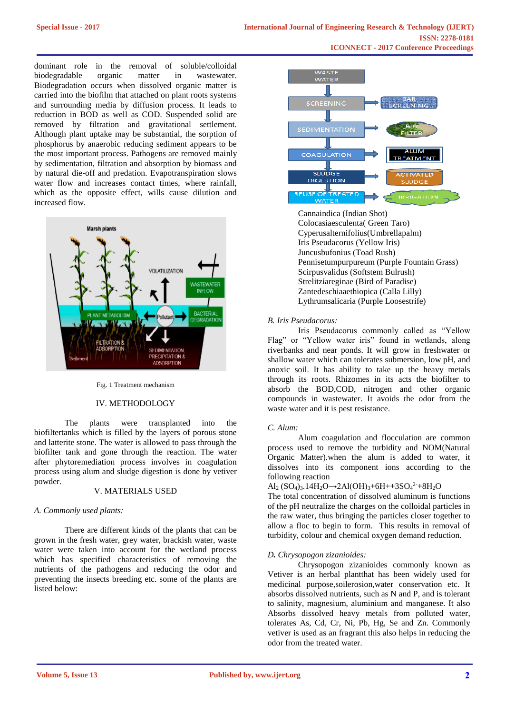dominant role in the removal of soluble/colloidal biodegradable organic matter in wastewater. Biodegradation occurs when dissolved organic matter is carried into the biofilm that attached on plant roots systems and surrounding media by diffusion process. It leads to reduction in BOD as well as COD. Suspended solid are removed by filtration and gravitational settlement. Although plant uptake may be substantial, the sorption of phosphorus by anaerobic reducing sediment appears to be the most important process. Pathogens are removed mainly by sedimentation, filtration and absorption by biomass and by natural die-off and predation. Evapotranspiration slows water flow and increases contact times, where rainfall, which as the opposite effect, wills cause dilution and increased flow.



#### Fig. 1 Treatment mechanism

# IV. METHODOLOGY

The plants were transplanted into the biofiltertanks which is filled by the layers of porous stone and latterite stone. The water is allowed to pass through the biofilter tank and gone through the reaction. The water after phytoremediation process involves in coagulation process using alum and sludge digestion is done by vetiver powder.

# V. MATERIALS USED

#### *A. Commonly used plants:*

There are different kinds of the plants that can be grown in the fresh water, grey water, brackish water, waste water were taken into account for the wetland process which has specified characteristics of removing the nutrients of the pathogens and reducing the odor and preventing the insects breeding etc. some of the plants are listed below:



Cannaindica (Indian Shot) Colocasiaesculenta( Green Taro) Cyperusalternifolius(Umbrellapalm) Iris Pseudacorus (Yellow Iris) Juncusbufonius (Toad Rush) Pennisetumpurpureum (Purple Fountain Grass) Scirpusvalidus (Softstem Bulrush) Strelitziareginae (Bird of Paradise) Zantedeschiaaethiopica (Calla Lilly) Lythrumsalicaria (Purple Loosestrife)

#### *B. Iris Pseudacorus:*

Iris Pseudacorus commonly called as "Yellow Flag" or "Yellow water iris" found in wetlands, along riverbanks and near ponds. It will grow in freshwater or shallow water which can tolerates submersion, low pH, and anoxic soil. It has ability to take up the heavy metals through its roots. Rhizomes in its acts the biofilter to absorb the BOD,COD, nitrogen and other organic compounds in wastewater. It avoids the odor from the waste water and it is pest resistance.

#### *C. Alum:*

Alum coagulation and flocculation are common process used to remove the turbidity and NOM(Natural Organic Matter).when the alum is added to water, it dissolves into its component ions according to the following reaction

# Al<sub>2</sub> (SO<sub>4</sub>)<sub>3</sub>.14H<sub>2</sub>O→2Al(OH)<sub>3</sub>+6H++3SO<sub>4</sub><sup>2</sup>+8H<sub>2</sub>O

The total concentration of dissolved aluminum is functions of the pH neutralize the charges on the colloidal particles in the raw water, thus bringing the particles closer together to allow a floc to begin to form. This results in removal of turbidity, colour and chemical oxygen demand reduction.

#### *D. Chrysopogon zizanioides:*

Chrysopogon zizanioides commonly known as Vetiver is an herbal plantthat has been widely used for medicinal purpose,soilerosion,water conservation etc. It absorbs dissolved nutrients, such as N and P, and is tolerant to salinity, magnesium, aluminium and manganese. It also Absorbs dissolved heavy metals from polluted water, tolerates As, Cd, Cr, Ni, Pb, Hg, Se and Zn. Commonly vetiver is used as an fragrant this also helps in reducing the odor from the treated water.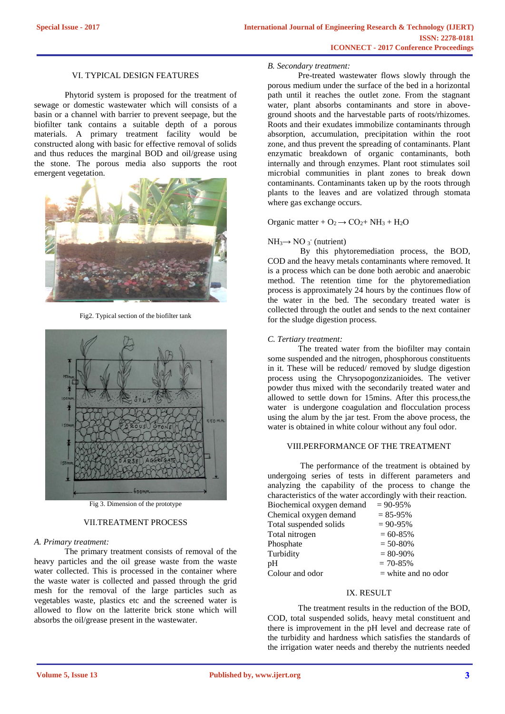## VI. TYPICAL DESIGN FEATURES

Phytorid system is proposed for the treatment of sewage or domestic wastewater which will consists of a basin or a channel with barrier to prevent seepage, but the biofilter tank contains a suitable depth of a porous materials. A primary treatment facility would be constructed along with basic for effective removal of solids and thus reduces the marginal BOD and oil/grease using the stone. The porous media also supports the root emergent vegetation.



Fig2. Typical section of the biofilter tank



Fig 3. Dimension of the prototype

# VII.TREATMENT PROCESS

## *A. Primary treatment:*

The primary treatment consists of removal of the heavy particles and the oil grease waste from the waste water collected. This is processed in the container where the waste water is collected and passed through the grid mesh for the removal of the large particles such as vegetables waste, plastics etc and the screened water is allowed to flow on the latterite brick stone which will absorbs the oil/grease present in the wastewater.

#### *B. Secondary treatment:*

Pre-treated wastewater flows slowly through the porous medium under the surface of the bed in a horizontal path until it reaches the outlet zone. From the stagnant water, plant absorbs contaminants and store in aboveground shoots and the harvestable parts of roots/rhizomes. Roots and their exudates immobilize contaminants through absorption, accumulation, precipitation within the root zone, and thus prevent the spreading of contaminants. Plant enzymatic breakdown of organic contaminants, both internally and through enzymes. Plant root stimulates soil microbial communities in plant zones to break down contaminants. Contaminants taken up by the roots through plants to the leaves and are volatized through stomata where gas exchange occurs.

# Organic matter +  $O_2 \rightarrow CO_2 + NH_3 + H_2O$

# $NH_3 \rightarrow NO_3$ <sup>-</sup> (nutrient)

By this phytoremediation process, the BOD, COD and the heavy metals contaminants where removed. It is a process which can be done both aerobic and anaerobic method. The retention time for the phytoremediation process is approximately 24 hours by the continues flow of the water in the bed. The secondary treated water is collected through the outlet and sends to the next container for the sludge digestion process.

## *C. Tertiary treatment:*

The treated water from the biofilter may contain some suspended and the nitrogen, phosphorous constituents in it. These will be reduced/ removed by sludge digestion process using the Chrysopogonzizanioides. The vetiver powder thus mixed with the secondarily treated water and allowed to settle down for 15mins. After this process,the water is undergone coagulation and flocculation process using the alum by the jar test. From the above process, the water is obtained in white colour without any foul odor.

# VIII.PERFORMANCE OF THE TREATMENT

The performance of the treatment is obtained by undergoing series of tests in different parameters and analyzing the capability of the process to change the characteristics of the water accordingly with their reaction.

| Biochemical oxygen demand | $= 90 - 95%$          |
|---------------------------|-----------------------|
| Chemical oxygen demand    | $= 85 - 95%$          |
| Total suspended solids    | $= 90 - 95\%$         |
| Total nitrogen            | $= 60 - 85\%$         |
| Phosphate                 | $= 50 - 80\%$         |
| Turbidity                 | $= 80 - 90\%$         |
| pH                        | $= 70 - 85\%$         |
| Colour and odor           | $=$ white and no odor |

# IX. RESULT

The treatment results in the reduction of the BOD, COD, total suspended solids, heavy metal constituent and there is improvement in the pH level and decrease rate of the turbidity and hardness which satisfies the standards of the irrigation water needs and thereby the nutrients needed